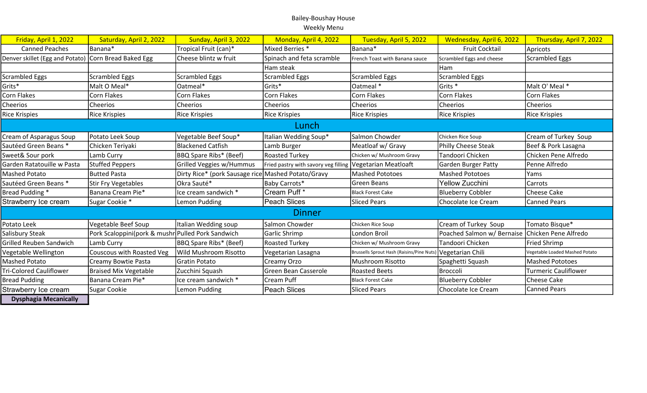## Bailey-Boushay House Weekly Menu

| Friday, April 1, 2022           | Saturday, April 2, 2022                           | Sunday, April 3, 2022                              | Monday, April 4, 2022                | Tuesday, April 5, 2022                    | Wednesday, April 6, 2022                        | Thursday, April 7, 2022        |
|---------------------------------|---------------------------------------------------|----------------------------------------------------|--------------------------------------|-------------------------------------------|-------------------------------------------------|--------------------------------|
| <b>Canned Peaches</b>           | Banana*                                           | Tropical Fruit (can)*                              | Mixed Berries *                      | Banana*                                   | <b>Fruit Cocktail</b>                           | Apricots                       |
| Denver skillet (Egg and Potato) | Corn Bread Baked Egg                              | Cheese blintz w fruit                              | Spinach and feta scramble            | French Toast with Banana sauce            | Scrambled Eggs and cheese                       | Scrambled Eggs                 |
|                                 |                                                   |                                                    | Ham steak                            |                                           | Ham                                             |                                |
| <b>Scrambled Eggs</b>           | <b>Scrambled Eggs</b>                             | <b>Scrambled Eggs</b>                              | <b>Scrambled Eggs</b>                | <b>Scrambled Eggs</b>                     | Scrambled Eggs                                  |                                |
| Grits*                          | Malt O Meal*                                      | Oatmeal*                                           | Grits*                               | Oatmeal *                                 | Grits *                                         | Malt O' Meal *                 |
| Corn Flakes                     | <b>Corn Flakes</b>                                | Corn Flakes                                        | Corn Flakes                          | <b>Corn Flakes</b>                        | Corn Flakes                                     | Corn Flakes                    |
| Cheerios                        | Cheerios                                          | <b>Cheerios</b>                                    | Cheerios                             | Cheerios                                  | <b>Cheerios</b>                                 | Cheerios                       |
| <b>Rice Krispies</b>            | <b>Rice Krispies</b>                              | <b>Rice Krispies</b>                               | <b>Rice Krispies</b>                 | <b>Rice Krispies</b>                      | Rice Krispies                                   | Rice Krispies                  |
| Lunch                           |                                                   |                                                    |                                      |                                           |                                                 |                                |
| Cream of Asparagus Soup         | Potato Leek Soup                                  | Vegetable Beef Soup*                               | Italian Wedding Soup*                | Salmon Chowder                            | Chicken Rice Soup                               | Cream of Turkey Soup           |
| Sautéed Green Beans *           | Chicken Teriyaki                                  | Blackened Catfish                                  | Lamb Burger                          | Meatloaf w/ Gravy                         | Philly Cheese Steak                             | Beef & Pork Lasagna            |
| Sweet& Sour pork                | Lamb Curry                                        | <b>BBQ Spare Ribs* (Beef)</b>                      | <b>Roasted Turkey</b>                | Chicken w/ Mushroom Gravy                 | Tandoori Chicken                                | Chicken Pene Alfredo           |
| Garden Ratatouille w Pasta      | <b>Stuffed Peppers</b>                            | Grilled Veggies w/Hummus                           | Fried pastry with savory veg filling | Vegetarian Meatloaft                      | <b>Garden Burger Patty</b>                      | Penne Alfredo                  |
| Mashed Potato                   | Butted Pasta                                      | Dirty Rice* (pork Sausage rice Mashed Potato/Gravy |                                      | <b>Mashed Pototoes</b>                    | <b>Mashed Pototoes</b>                          | Yams                           |
| Sautéed Green Beans *           | <b>Stir Fry Vegetables</b>                        | Okra Sauté*                                        | Baby Carrots*                        | Green Beans                               | Yellow Zucchini                                 | Carrots                        |
| Bread Pudding *                 | Banana Cream Pie*                                 | Ice cream sandwich *                               | Cream Puff *                         | <b>Black Forest Cake</b>                  | <b>Blueberry Cobbler</b>                        | Cheese Cake                    |
| Strawberry Ice cream            | Sugar Cookie *                                    | Lemon Pudding                                      | <b>Peach Slices</b>                  | <b>Sliced Pears</b>                       | Chocolate Ice Cream                             | <b>Canned Pears</b>            |
| <b>Dinner</b>                   |                                                   |                                                    |                                      |                                           |                                                 |                                |
| Potato Leek                     | Vegetable Beef Soup                               | Italian Wedding soup                               | Salmon Chowder                       | Chicken Rice Soup                         | Cream of Turkey Soup                            | Tomato Bisque*                 |
| Salisbury Steak                 | Pork Scaloppini(pork & mushr Pulled Pork Sandwich |                                                    | Garlic Shrimp                        | <b>London Broil</b>                       | Poached Salmon w/ Bernaise Chicken Pene Alfredo |                                |
| Grilled Reuben Sandwich         | Lamb Curry                                        | BBQ Spare Ribs* (Beef)                             | <b>Roasted Turkey</b>                | Chicken w/ Mushroom Gravy                 | Tandoori Chicken                                | <b>Fried Shrimp</b>            |
| Vegetable Wellington            | Couscous with Roasted Veg                         | <b>Wild Mushroom Risotto</b>                       | Vegetarian Lasagna                   | Brussells Sprout Hash (Raisins/Pine Nuts) | Vegetarian Chili                                | Vegetable Loaded Mashed Potato |
| <b>Mashed Potato</b>            | Creamy Bowtie Pasta                               | Gratin Potato                                      | Creamy Orzo                          | Mushroom Risotto                          | Spaghetti Squash                                | Mashed Pototoes                |
| <b>Tri-Colored Cauliflower</b>  | <b>Braised Mix Vegetable</b>                      | Zucchini Squash                                    | <b>Green Bean Casserole</b>          | <b>Roasted Beets</b>                      | Broccoli                                        | Turmeric Cauliflower           |
| <b>Bread Pudding</b>            | Banana Cream Pie*                                 | Ice cream sandwich *                               | Cream Puff                           | <b>Black Forest Cake</b>                  | <b>Blueberry Cobbler</b>                        | Cheese Cake                    |
| Strawberry Ice cream            | Sugar Cookie                                      | Lemon Pudding                                      | <b>Peach Slices</b>                  | <b>Sliced Pears</b>                       | Chocolate Ice Cream                             | <b>Canned Pears</b>            |

Dysphagia Mecanically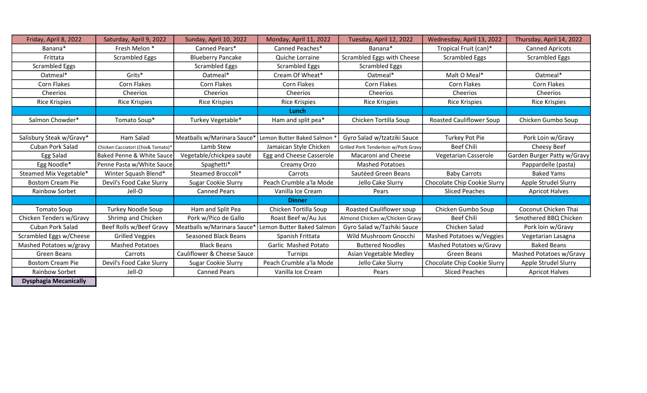| Friday, April 8, 2022        | Saturday, April 9, 2022              | Sunday, April 10, 2022      | Monday, April 11, 2022                 | Tuesday, April 12, 2022              | Wednesday, April 13, 2022       | Thursday, April 14, 2022    |
|------------------------------|--------------------------------------|-----------------------------|----------------------------------------|--------------------------------------|---------------------------------|-----------------------------|
| Banana*                      | Fresh Melon *                        | Canned Pears*               | Canned Peaches*                        | Banana*                              | Tropical Fruit (can)*           | <b>Canned Apricots</b>      |
| Frittata                     | <b>Scrambled Eggs</b>                | <b>Blueberry Pancake</b>    | Quiche Lorraine                        | Scrambled Eggs with Cheese           | <b>Scrambled Eggs</b>           | <b>Scrambled Eggs</b>       |
| Scrambled Eggs               |                                      | <b>Scrambled Eggs</b>       | <b>Scrambled Eggs</b>                  | <b>Scrambled Eggs</b>                |                                 |                             |
| Oatmeal*                     | Grits*                               | Oatmeal*                    | Cream Of Wheat*                        | Oatmeal*                             | Malt O Meal*                    | Oatmeal*                    |
| Corn Flakes                  | Corn Flakes                          | Corn Flakes                 | Corn Flakes                            | Corn Flakes                          | <b>Corn Flakes</b>              | Corn Flakes                 |
| Cheerios                     | Cheerios                             | Cheerios                    | Cheerios                               | Cheerios                             | Cheerios                        | Cheerios                    |
| <b>Rice Krispies</b>         | <b>Rice Krispies</b>                 | <b>Rice Krispies</b>        | <b>Rice Krispies</b>                   | <b>Rice Krispies</b>                 | <b>Rice Krispies</b>            | <b>Rice Krispies</b>        |
|                              |                                      |                             | Lunch                                  |                                      |                                 |                             |
| Salmon Chowder*              | Tomato Soup*                         | Turkey Vegetable*           | Ham and split pea*                     | Chicken Tortilla Soup                | <b>Roasted Cauliflower Soup</b> | Chicken Gumbo Soup          |
|                              |                                      |                             |                                        |                                      |                                 |                             |
| Salisbury Steak w/Gravy*     | Ham Salad                            | Meatballs w/Marinara Sauce  | Lemon Butter Baked Salmon <sup>*</sup> | Gyro Salad w/tzatziki Sauce          | Turkey Pot Pie                  | Pork Loin w/Gravy           |
| <b>Cuban Pork Salad</b>      | Chicken Cacciatori (Chix& Tomato)*   | Lamb Stew                   | Jamaican Style Chicken                 | Grilled Pork Tenderloin w/Pork Gravy | <b>Beef Chili</b>               | Cheesy Beef                 |
| Egg Salad                    | <b>Baked Penne &amp; White Sauce</b> | Vegetable/chickpea sauté    | Egg and Cheese Casserole               | Macaroni and Cheese                  | Vegetarian Casserole            | Garden Burger Patty w/Gravy |
| Egg Noodle*                  | Penne Pasta w/White Sauce            | Spaghetti*                  | Creamy Orzo                            | <b>Mashed Potatoes</b>               |                                 | Pappardelle (pasta)         |
| Steamed Mix Vegetable*       | Winter Squash Blend*                 | Steamed Broccoli*           | Carrots                                | Sautéed Green Beans                  | <b>Baby Carrots</b>             | <b>Baked Yams</b>           |
| <b>Bostom Cream Pie</b>      | Devil's Food Cake Slurry             | <b>Sugar Cookie Slurry</b>  | Peach Crumble a'la Mode                | Jello Cake Slurry                    | Chocolate Chip Cookie Slurry    | Apple Strudel Slurry        |
| Rainbow Sorbet               | Jell-O                               | <b>Canned Pears</b>         | Vanilla Ice Cream                      | Pears                                | <b>Sliced Peaches</b>           | <b>Apricot Halves</b>       |
|                              |                                      |                             | <b>Dinner</b>                          |                                      |                                 |                             |
| <b>Tomato Soup</b>           | <b>Turkey Noodle Soup</b>            | Ham and Split Pea           | Chicken Tortilla Soup                  | <b>Roasted Cauliflower soup</b>      | Chicken Gumbo Soup              | Coconut Chicken Thai        |
| Chicken Tenders w/Gravy      | Shrimp and Chicken                   | Pork w/Pico de Gallo        | Roast Beef w/Au Jus                    | Almond Chicken w/Chicken Gravy       | <b>Beef Chili</b>               | Smothered BBQ Chicken       |
| <b>Cuban Pork Salad</b>      | Beef Rolls w/Beef Gravy              | Meatballs w/Marinara Sauce  | Lemon Butter Baked Salmon              | Gyro Salad w/Tazhiki Sauce           | Chicken Salad                   | Pork loin w/Gravy           |
| Scrambled Eggs w/Cheese      | <b>Grilled Veggies</b>               | <b>Seasoned Black Beans</b> | Spanish Frittata                       | Wild Mushroom Gnocchi                | Mashed Potatoes w/Veggies       | Vegetarian Lasagna          |
| Mashed Potatoes w/gravy      | <b>Mashed Potatoes</b>               | <b>Black Beans</b>          | Garlic Mashed Potato                   | <b>Buttered Noodles</b>              | Mashed Potatoes w/Gravy         | <b>Baked Beans</b>          |
| Green Beans                  | Carrots                              | Cauliflower & Cheese Sauce  | Turnips                                | Asian Vegetable Medley               | Green Beans                     | Mashed Potatoes w/Gravy     |
| <b>Bostom Cream Pie</b>      | Devil's Food Cake Slurry             | Sugar Cookie Slurry         | Peach Crumble a'la Mode                | Jello Cake Slurry                    | Chocolate Chip Cookie Slurry    | Apple Strudel Slurry        |
| Rainbow Sorbet               | Jell-O                               | <b>Canned Pears</b>         | Vanilla Ice Cream                      | Pears                                | <b>Sliced Peaches</b>           | <b>Apricot Halves</b>       |
| <b>Dysphagia Mecanically</b> |                                      |                             |                                        |                                      |                                 |                             |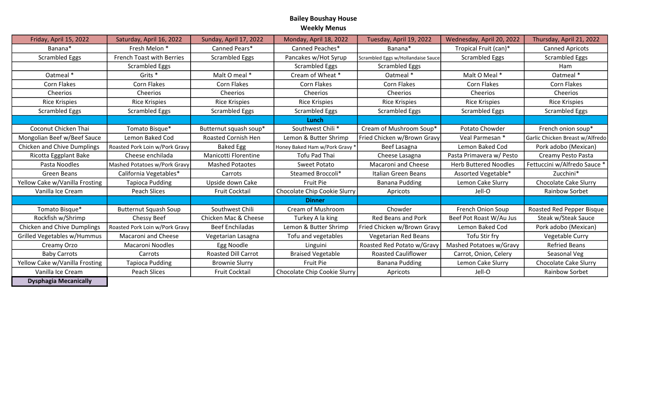## Bailey Boushay House Weekly Menus

| Friday, April 15, 2022             | Saturday, April 16, 2022       | Sunday, April 17, 2022     | Monday, April 18, 2022       | Tuesday, April 19, 2022            | Wednesday, April 20, 2022    | Thursday, April 21, 2022        |
|------------------------------------|--------------------------------|----------------------------|------------------------------|------------------------------------|------------------------------|---------------------------------|
| Banana*                            | Fresh Melon *                  | Canned Pears*              | Canned Peaches*              | Banana*                            | Tropical Fruit (can)*        | <b>Canned Apricots</b>          |
| <b>Scrambled Eggs</b>              | French Toast with Berries      | <b>Scrambled Eggs</b>      | Pancakes w/Hot Syrup         | Scrambled Eggs w/Hollandaise Sauce | <b>Scrambled Eggs</b>        | <b>Scrambled Eggs</b>           |
|                                    | <b>Scrambled Eggs</b>          |                            | <b>Scrambled Eggs</b>        | <b>Scrambled Eggs</b>              |                              | Ham                             |
| Oatmeal *                          | Grits <sup>*</sup>             | Malt O meal *              | Cream of Wheat *             | Oatmeal *                          | Malt O Meal *                | Oatmeal *                       |
| Corn Flakes                        | Corn Flakes                    | Corn Flakes                | Corn Flakes                  | Corn Flakes                        | Corn Flakes                  | Corn Flakes                     |
| Cheerios                           | Cheerios                       | Cheerios                   | Cheerios                     | Cheerios                           | Cheerios                     | Cheerios                        |
| <b>Rice Krispies</b>               | <b>Rice Krispies</b>           | <b>Rice Krispies</b>       | <b>Rice Krispies</b>         | <b>Rice Krispies</b>               | <b>Rice Krispies</b>         | <b>Rice Krispies</b>            |
| <b>Scrambled Eggs</b>              | <b>Scrambled Eggs</b>          | <b>Scrambled Eggs</b>      | <b>Scrambled Eggs</b>        | <b>Scrambled Eggs</b>              | <b>Scrambled Eggs</b>        | <b>Scrambled Eggs</b>           |
|                                    |                                |                            | Lunch                        |                                    |                              |                                 |
| Coconut Chicken Thai               | Tomato Bisque*                 | Butternut squash soup*     | Southwest Chili*             | Cream of Mushroom Soup*            | Potato Chowder               | French onion soup*              |
| Mongolian Beef w/Beef Sauce        | Lemon Baked Cod                | <b>Roasted Cornish Hen</b> | Lemon & Butter Shrimp        | Fried Chicken w/Brown Gravy        | Veal Parmesan *              | Garlic Chicken Breast w/Alfredo |
| Chicken and Chive Dumplings        | Roasted Pork Loin w/Pork Gravy | <b>Baked Egg</b>           | Honey Baked Ham w/Pork Gravy | Beef Lasagna                       | Lemon Baked Cod              | Pork adobo (Mexican)            |
| Ricotta Eggplant Bake              | Cheese enchilada               | Manicotti Florentine       | Tofu Pad Thai                | Cheese Lasagna                     | Pasta Primavera w/ Pesto     | Creamy Pesto Pasta              |
| Pasta Noodles                      | Mashed Potatoes w/Pork Gravy   | <b>Mashed Potaotes</b>     | Sweet Potato                 | Macaroni and Cheese                | <b>Herb Buttered Noodles</b> | Fettuccini w/Alfredo Sauce *    |
| Green Beans                        | California Vegetables*         | Carrots                    | Steamed Broccoli*            | Italian Green Beans                | Assorted Vegetable*          | Zucchini*                       |
| Yellow Cake w/Vanilla Frosting     | <b>Tapioca Pudding</b>         | Upside down Cake           | Fruit Pie                    | <b>Banana Pudding</b>              | Lemon Cake Slurry            | Chocolate Cake Slurry           |
| Vanilla Ice Cream                  | Peach Slices                   | <b>Fruit Cocktail</b>      | Chocolate Chip Cookie Slurry | Apricots                           | Jell-O                       | <b>Rainbow Sorbet</b>           |
|                                    |                                |                            | <b>Dinner</b>                |                                    |                              |                                 |
| Tomato Bisque*                     | <b>Butternut Squash Soup</b>   | Southwest Chili            | Cream of Mushroom            | Chowder                            | French Onion Soup            | Roasted Red Pepper Bisque       |
| Rockfish w/Shrimp                  | Chessy Beef                    | Chicken Mac & Cheese       | Turkey A la king             | <b>Red Beans and Pork</b>          | Beef Pot Roast W/Au Jus      | Steak w/Steak Sauce             |
| <b>Chicken and Chive Dumplings</b> | Roasted Pork Loin w/Pork Gravy | <b>Beef Enchiladas</b>     | Lemon & Butter Shrimp        | Fried Chicken w/Brown Gravy        | Lemon Baked Cod              | Pork adobo (Mexican)            |
| Grilled Vegetables w/Hummus        | Macaroni and Cheese            | Vegetarian Lasagna         | Tofu and vegetables          | <b>Vegetarian Red Beans</b>        | Tofu Stir fry                | Vegetable Curry                 |
| Creamy Orzo                        | Macaroni Noodles               | Egg Noodle                 | Linguini                     | Roasted Red Potato w/Gravy         | Mashed Potatoes w/Gravy      | <b>Refried Beans</b>            |
| <b>Baby Carrots</b>                | Carrots                        | <b>Roasted Dill Carrot</b> | <b>Braised Vegetable</b>     | <b>Roasted Cauliflower</b>         | Carrot, Onion, Celery        | Seasonal Veg                    |
| Yellow Cake w/Vanilla Frosting     | <b>Tapioca Pudding</b>         | <b>Brownie Slurry</b>      | Fruit Pie                    | Banana Pudding                     | Lemon Cake Slurry            | <b>Chocolate Cake Slurry</b>    |
| Vanilla Ice Cream                  | Peach Slices                   | <b>Fruit Cocktail</b>      | Chocolate Chip Cookie Slurry | Apricots                           | Jell-O                       | <b>Rainbow Sorbet</b>           |
| <b>Dysphagia Mecanically</b>       |                                |                            |                              |                                    |                              |                                 |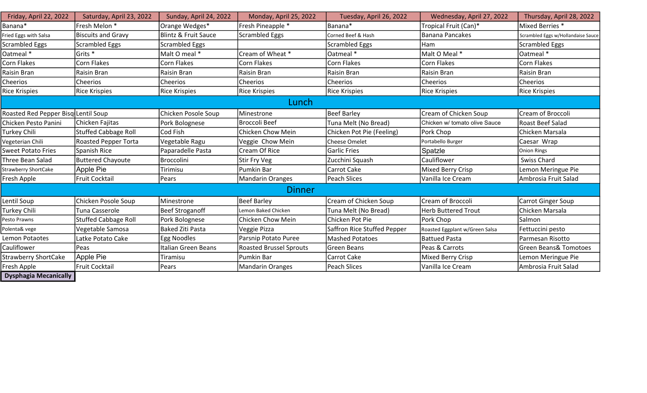| Friday, April 22, 2022              | Saturday, April 23, 2022    | Sunday, April 24, 2022          | Monday, April 25, 2022         | Tuesday, April 26, 2022     | Wednesday, April 27, 2022      | Thursday, April 28, 2022           |
|-------------------------------------|-----------------------------|---------------------------------|--------------------------------|-----------------------------|--------------------------------|------------------------------------|
| Banana*                             | Fresh Melon *               | Orange Wedges*                  | Fresh Pineapple *              | Banana*                     | Tropical Fruit (Can)*          | Mixed Berries *                    |
| Fried Eggs with Salsa               | <b>Biscuits and Gravy</b>   | <b>Blintz &amp; Fruit Sauce</b> | <b>Scrambled Eggs</b>          | Corned Beef & Hash          | <b>Banana Pancakes</b>         | Scrambled Eggs w/Hollandaise Sauce |
| <b>Scrambled Eggs</b>               | <b>Scrambled Eggs</b>       | <b>Scrambled Eggs</b>           |                                | Scrambled Eggs              | Ham                            | <b>Scrambled Eggs</b>              |
| Oatmeal *                           | Grits <sup>*</sup>          | Malt O meal *                   | Cream of Wheat *               | Oatmeal *                   | Malt O Meal *                  | Oatmeal *                          |
| <b>Corn Flakes</b>                  | Corn Flakes                 | Corn Flakes                     | Corn Flakes                    | <b>Corn Flakes</b>          | Corn Flakes                    | Corn Flakes                        |
| <b>Raisin Bran</b>                  | <b>Raisin Bran</b>          | Raisin Bran                     | <b>Raisin Bran</b>             | Raisin Bran                 | Raisin Bran                    | Raisin Bran                        |
| Cheerios                            | Cheerios                    | Cheerios                        | Cheerios                       | Cheerios                    | Cheerios                       | Cheerios                           |
| <b>Rice Krispies</b>                | <b>Rice Krispies</b>        | <b>Rice Krispies</b>            | <b>Rice Krispies</b>           | Rice Krispies               | <b>Rice Krispies</b>           | <b>Rice Krispies</b>               |
| Lunch                               |                             |                                 |                                |                             |                                |                                    |
| Roasted Red Pepper Bisq Lentil Soup |                             | Chicken Posole Soup             | Minestrone                     | Beef Barley                 | Cream of Chicken Soup          | Cream of Broccoli                  |
| Chicken Pesto Panini                | Chicken Fajitas             | Pork Bolognese                  | <b>Broccoli Beef</b>           | Tuna Melt (No Bread)        | Chicken w/ tomato olive Sauce  | Roast Beef Salad                   |
| <b>Turkey Chili</b>                 | <b>Stuffed Cabbage Roll</b> | Cod Fish                        | Chicken Chow Mein              | Chicken Pot Pie (Feeling)   | Pork Chop                      | Chicken Marsala                    |
| Vegeterian Chili                    | <b>Roasted Pepper Torta</b> | Vegetable Ragu                  | Veggie Chow Mein               | <b>Cheese Omelet</b>        | Portabello Burger              | Caesar Wrap                        |
| <b>Sweet Potato Fries</b>           | Spanish Rice                | Paparadelle Pasta               | Cream Of Rice                  | <b>Garlic Fries</b>         | Spatzle                        | Onion Rings                        |
| Three Bean Salad                    | <b>Buttered Chayoute</b>    | <b>Broccolini</b>               | Stir Fry Veg                   | Zucchini Squash             | Cauliflower                    | Swiss Chard                        |
| <b>Strawberry ShortCake</b>         | Apple Pie                   | Tirimisu                        | Pumkin Bar                     | Carrot Cake                 | Mixed Berry Crisp              | Lemon Meringue Pie                 |
| Fresh Apple                         | Fruit Cocktail              | Pears                           | <b>Mandarin Oranges</b>        | Peach Slices                | Vanilla Ice Cream              | Ambrosia Fruit Salad               |
| <b>Dinner</b>                       |                             |                                 |                                |                             |                                |                                    |
| Lentil Soup                         | Chicken Posole Soup         | Minestrone                      | <b>Beef Barley</b>             | Cream of Chicken Soup       | Cream of Broccoli              | <b>Carrot Ginger Soup</b>          |
| Turkey Chili                        | Tuna Casserole              | <b>Beef Stroganoff</b>          | Lemon Baked Chicken            | Tuna Melt (No Bread)        | <b>Herb Buttered Trout</b>     | Chicken Marsala                    |
| Pesto Prawns                        | <b>Stuffed Cabbage Roll</b> | Pork Bolognese                  | Chicken Chow Mein              | Chicken Pot Pie             | Pork Chop                      | Salmon                             |
| Polenta& vege                       | Vegetable Samosa            | <b>Baked Ziti Pasta</b>         | Veggie Pizza                   | Saffron Rice Stuffed Pepper | Roasted Eggplant w/Green Salsa | Fettuccini pesto                   |
| Lemon Potaotes                      | Latke Potato Cake           | Egg Noodles                     | Parsnip Potato Puree           | <b>Mashed Potatoes</b>      | <b>Battued Pasta</b>           | Parmesan Risotto                   |
| Cauliflower                         | Peas                        | Italian Green Beans             | <b>Roasted Brussel Sprouts</b> | Green Beans                 | Peas & Carrots                 | <b>Green Beans&amp; Tomotoes</b>   |
| <b>Strawberry ShortCake</b>         | Apple Pie                   | Tiramisu                        | Pumkin Bar                     | Carrot Cake                 | Mixed Berry Crisp              | Lemon Meringue Pie                 |
| Fresh Apple                         | <b>Fruit Cocktail</b>       | Pears                           | <b>Mandarin Oranges</b>        | Peach Slices                | Vanilla Ice Cream              | Ambrosia Fruit Salad               |
| <b>Dysphagia Mecanically</b>        |                             |                                 |                                |                             |                                |                                    |